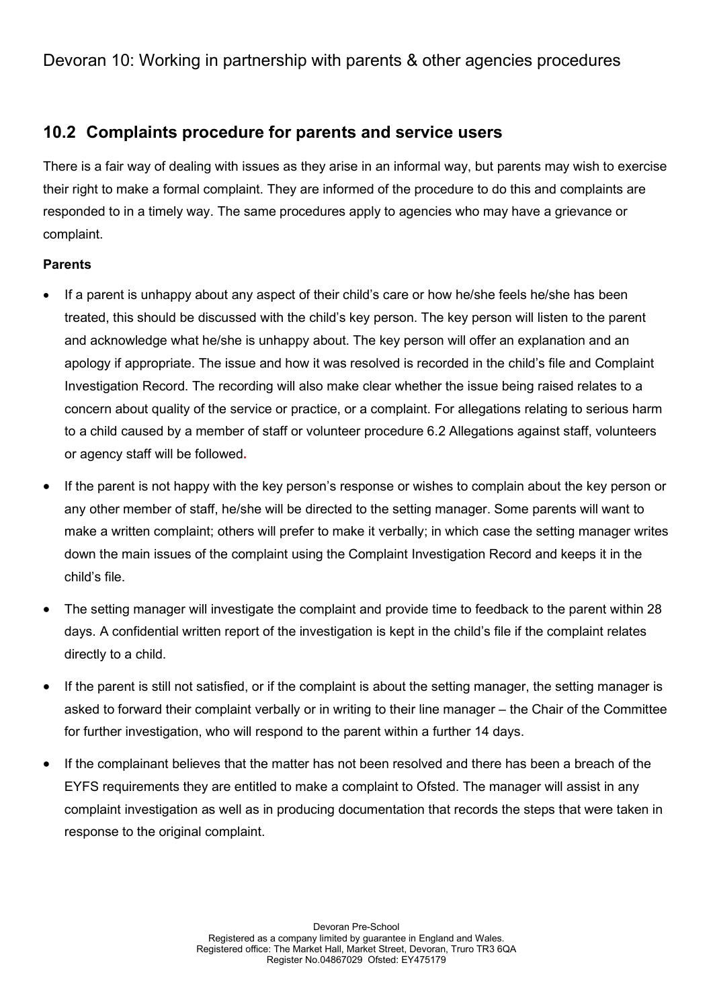# 10.2 Complaints procedure for parents and service users

There is a fair way of dealing with issues as they arise in an informal way, but parents may wish to exercise their right to make a formal complaint. They are informed of the procedure to do this and complaints are responded to in a timely way. The same procedures apply to agencies who may have a grievance or complaint.

## Parents

- If a parent is unhappy about any aspect of their child's care or how he/she feels he/she has been treated, this should be discussed with the child's key person. The key person will listen to the parent and acknowledge what he/she is unhappy about. The key person will offer an explanation and an apology if appropriate. The issue and how it was resolved is recorded in the child's file and Complaint Investigation Record. The recording will also make clear whether the issue being raised relates to a concern about quality of the service or practice, or a complaint. For allegations relating to serious harm to a child caused by a member of staff or volunteer procedure 6.2 Allegations against staff, volunteers or agency staff will be followed.
- If the parent is not happy with the key person's response or wishes to complain about the key person or any other member of staff, he/she will be directed to the setting manager. Some parents will want to make a written complaint; others will prefer to make it verbally; in which case the setting manager writes down the main issues of the complaint using the Complaint Investigation Record and keeps it in the child's file.
- The setting manager will investigate the complaint and provide time to feedback to the parent within 28 days. A confidential written report of the investigation is kept in the child's file if the complaint relates directly to a child.
- If the parent is still not satisfied, or if the complaint is about the setting manager, the setting manager is asked to forward their complaint verbally or in writing to their line manager – the Chair of the Committee for further investigation, who will respond to the parent within a further 14 days.
- If the complainant believes that the matter has not been resolved and there has been a breach of the EYFS requirements they are entitled to make a complaint to Ofsted. The manager will assist in any complaint investigation as well as in producing documentation that records the steps that were taken in response to the original complaint.